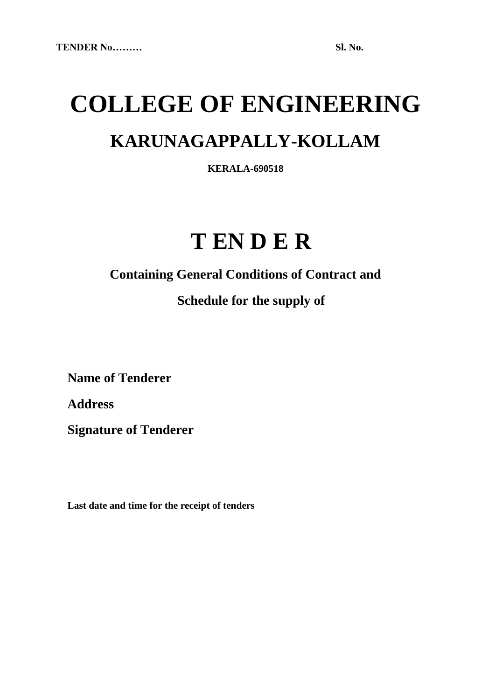# **COLLEGE OF ENGINEERING KARUNAGAPPALLY-KOLLAM**

**KERALA-690518**

## **T EN D E R**

**Containing General Conditions of Contract and**

### **Schedule for the supply of**

**Name of Tenderer**

**Address**

**Signature of Tenderer**

**Last date and time for the receipt of tenders**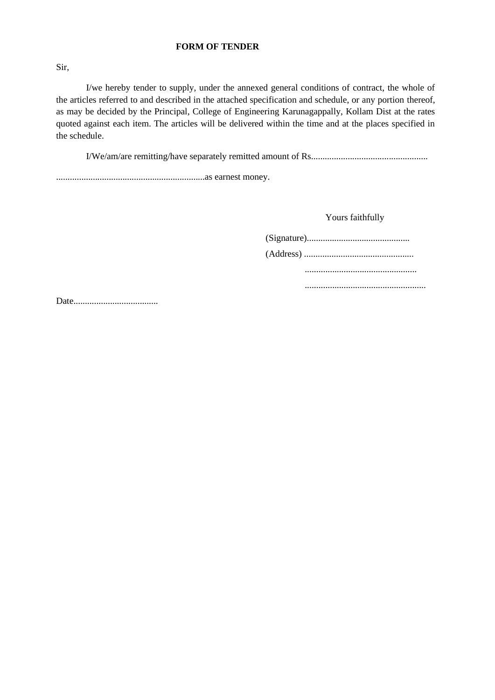#### **FORM OF TENDER**

Sir,

I/we hereby tender to supply, under the annexed general conditions of contract, the whole of the articles referred to and described in the attached specification and schedule, or any portion thereof, as may be decided by the Principal, College of Engineering Karunagappally, Kollam Dist at the rates quoted against each item. The articles will be delivered within the time and at the places specified in the schedule.

I/We/am/are remitting/have separately remitted amount of Rs...................................................

.................................................................as earnest money.

Yours faithfully

(Signature)............................................. (Address) ................................................ ................................................. .....................................................

Date.....................................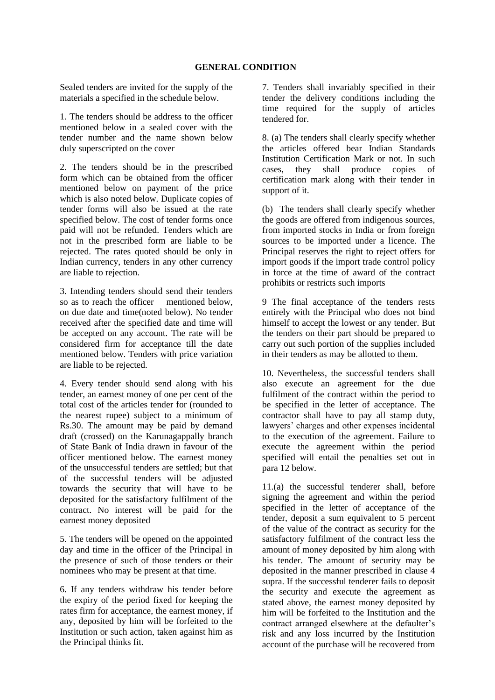Sealed tenders are invited for the supply of the materials a specified in the schedule below.

1. The tenders should be address to the officer mentioned below in a sealed cover with the tender number and the name shown below duly superscripted on the cover

2. The tenders should be in the prescribed form which can be obtained from the officer mentioned below on payment of the price which is also noted below. Duplicate copies of tender forms will also be issued at the rate specified below. The cost of tender forms once paid will not be refunded. Tenders which are not in the prescribed form are liable to be rejected. The rates quoted should be only in Indian currency, tenders in any other currency are liable to rejection.

3. Intending tenders should send their tenders so as to reach the officer mentioned below. on due date and time(noted below). No tender received after the specified date and time will be accepted on any account. The rate will be considered firm for acceptance till the date mentioned below. Tenders with price variation are liable to be rejected.

4. Every tender should send along with his tender, an earnest money of one per cent of the total cost of the articles tender for (rounded to the nearest rupee) subject to a minimum of Rs.30. The amount may be paid by demand draft (crossed) on the Karunagappally branch of State Bank of India drawn in favour of the officer mentioned below. The earnest money of the unsuccessful tenders are settled; but that of the successful tenders will be adjusted towards the security that will have to be deposited for the satisfactory fulfilment of the contract. No interest will be paid for the earnest money deposited

5. The tenders will be opened on the appointed day and time in the officer of the Principal in the presence of such of those tenders or their nominees who may be present at that time.

6. If any tenders withdraw his tender before the expiry of the period fixed for keeping the rates firm for acceptance, the earnest money, if any, deposited by him will be forfeited to the Institution or such action, taken against him as the Principal thinks fit.

7. Tenders shall invariably specified in their tender the delivery conditions including the time required for the supply of articles tendered for.

8. (a) The tenders shall clearly specify whether the articles offered bear Indian Standards Institution Certification Mark or not. In such cases, they shall produce copies of certification mark along with their tender in support of it.

(b) The tenders shall clearly specify whether the goods are offered from indigenous sources, from imported stocks in India or from foreign sources to be imported under a licence. The Principal reserves the right to reject offers for import goods if the import trade control policy in force at the time of award of the contract prohibits or restricts such imports

9 The final acceptance of the tenders rests entirely with the Principal who does not bind himself to accept the lowest or any tender. But the tenders on their part should be prepared to carry out such portion of the supplies included in their tenders as may be allotted to them.

10. Nevertheless, the successful tenders shall also execute an agreement for the due fulfilment of the contract within the period to be specified in the letter of acceptance. The contractor shall have to pay all stamp duty, lawyers' charges and other expenses incidental to the execution of the agreement. Failure to execute the agreement within the period specified will entail the penalties set out in para 12 below.

11.(a) the successful tenderer shall, before signing the agreement and within the period specified in the letter of acceptance of the tender, deposit a sum equivalent to 5 percent of the value of the contract as security for the satisfactory fulfilment of the contract less the amount of money deposited by him along with his tender. The amount of security may be deposited in the manner prescribed in clause 4 supra. If the successful tenderer fails to deposit the security and execute the agreement as stated above, the earnest money deposited by him will be forfeited to the Institution and the contract arranged elsewhere at the defaulter's risk and any loss incurred by the Institution account of the purchase will be recovered from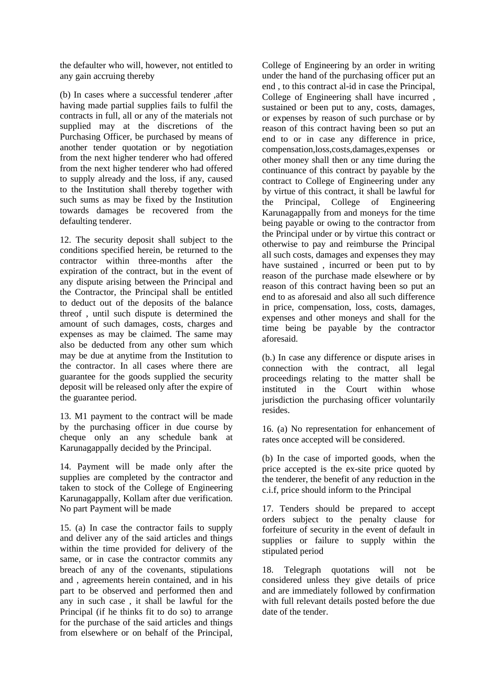the defaulter who will, however, not entitled to any gain accruing thereby

(b) In cases where a successful tenderer ,after having made partial supplies fails to fulfil the contracts in full, all or any of the materials not supplied may at the discretions of the Purchasing Officer, be purchased by means of another tender quotation or by negotiation from the next higher tenderer who had offered from the next higher tenderer who had offered to supply already and the loss, if any, caused to the Institution shall thereby together with such sums as may be fixed by the Institution towards damages be recovered from the defaulting tenderer.

12. The security deposit shall subject to the conditions specified herein, be returned to the contractor within three-months after the expiration of the contract, but in the event of any dispute arising between the Principal and the Contractor, the Principal shall be entitled to deduct out of the deposits of the balance threof , until such dispute is determined the amount of such damages, costs, charges and expenses as may be claimed. The same may also be deducted from any other sum which may be due at anytime from the Institution to the contractor. In all cases where there are guarantee for the goods supplied the security deposit will be released only after the expire of the guarantee period.

13. M1 payment to the contract will be made by the purchasing officer in due course by cheque only an any schedule bank at Karunagappally decided by the Principal.

14. Payment will be made only after the supplies are completed by the contractor and taken to stock of the College of Engineering Karunagappally, Kollam after due verification. No part Payment will be made

15. (a) In case the contractor fails to supply and deliver any of the said articles and things within the time provided for delivery of the same, or in case the contractor commits any breach of any of the covenants, stipulations and , agreements herein contained, and in his part to be observed and performed then and any in such case , it shall be lawful for the Principal (if he thinks fit to do so) to arrange for the purchase of the said articles and things from elsewhere or on behalf of the Principal,

College of Engineering by an order in writing under the hand of the purchasing officer put an end , to this contract al-id in case the Principal, College of Engineering shall have incurred , sustained or been put to any, costs, damages, or expenses by reason of such purchase or by reason of this contract having been so put an end to or in case any difference in price, compensation,loss,costs,damages,expenses or other money shall then or any time during the continuance of this contract by payable by the contract to College of Engineering under any by virtue of this contract, it shall be lawful for the Principal, College of Engineering Karunagappally from and moneys for the time being payable or owing to the contractor from the Principal under or by virtue this contract or otherwise to pay and reimburse the Principal all such costs, damages and expenses they may have sustained , incurred or been put to by reason of the purchase made elsewhere or by reason of this contract having been so put an end to as aforesaid and also all such difference in price, compensation, loss, costs, damages, expenses and other moneys and shall for the time being be payable by the contractor aforesaid.

(b.) In case any difference or dispute arises in connection with the contract, all legal proceedings relating to the matter shall be instituted in the Court within whose jurisdiction the purchasing officer voluntarily resides.

16. (a) No representation for enhancement of rates once accepted will be considered.

(b) In the case of imported goods, when the price accepted is the ex-site price quoted by the tenderer, the benefit of any reduction in the c.i.f, price should inform to the Principal

17. Tenders should be prepared to accept orders subject to the penalty clause for forfeiture of security in the event of default in supplies or failure to supply within the stipulated period

18. Telegraph quotations will not be considered unless they give details of price and are immediately followed by confirmation with full relevant details posted before the due date of the tender.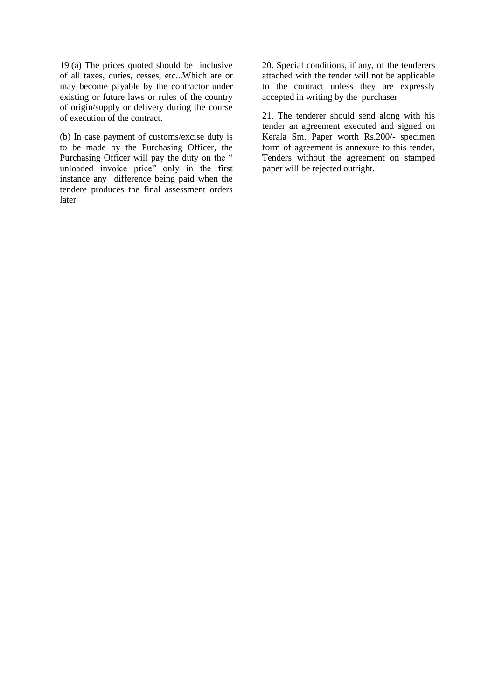19.(a) The prices quoted should be inclusive of all taxes, duties, cesses, etc...Which are or may become payable by the contractor under existing or future laws or rules of the country of origin/supply or delivery during the course of execution of the contract.

(b) In case payment of customs/excise duty is to be made by the Purchasing Officer, the Purchasing Officer will pay the duty on the " unloaded invoice price" only in the first instance any difference being paid when the tendere produces the final assessment orders later

20. Special conditions, if any, of the tenderers attached with the tender will not be applicable to the contract unless they are expressly accepted in writing by the purchaser

21. The tenderer should send along with his tender an agreement executed and signed on Kerala Sm. Paper worth Rs.200/- specimen form of agreement is annexure to this tender, Tenders without the agreement on stamped paper will be rejected outright.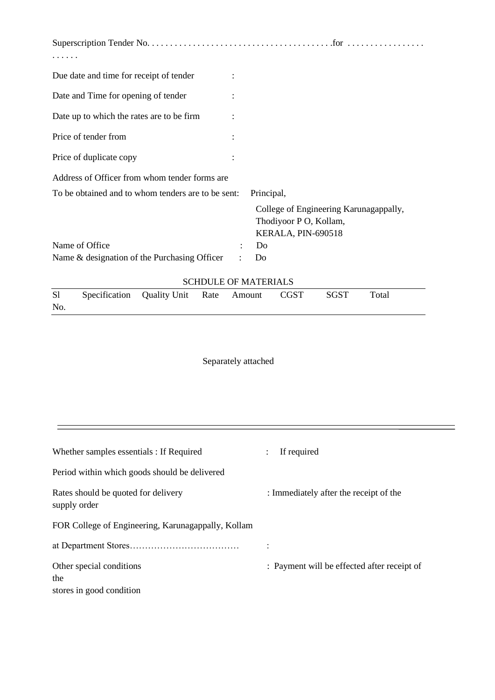| Due date and time for receipt of tender            |                                                                                        |  |  |  |
|----------------------------------------------------|----------------------------------------------------------------------------------------|--|--|--|
| Date and Time for opening of tender                |                                                                                        |  |  |  |
| Date up to which the rates are to be firm          |                                                                                        |  |  |  |
| Price of tender from                               |                                                                                        |  |  |  |
| Price of duplicate copy                            |                                                                                        |  |  |  |
| Address of Officer from whom tender forms are      |                                                                                        |  |  |  |
| To be obtained and to whom tenders are to be sent: | Principal,                                                                             |  |  |  |
|                                                    | College of Engineering Karunagappally,<br>Thodiyoor P O, Kollam,<br>KERALA, PIN-690518 |  |  |  |
| Name of Office                                     | Do                                                                                     |  |  |  |
| Name & designation of the Purchasing Officer       | Do                                                                                     |  |  |  |
| <b>SCHDULE OF MATERIALS</b>                        |                                                                                        |  |  |  |

| S1  | Specification Quality Unit Rate Amount |  | CGST | SGST | Total |  |
|-----|----------------------------------------|--|------|------|-------|--|
| No. |                                        |  |      |      |       |  |

Separately attached

| Whether samples essentials : If Required                    | If required                                 |
|-------------------------------------------------------------|---------------------------------------------|
| Period within which goods should be delivered               |                                             |
| Rates should be quoted for delivery<br>supply order         | : Immediately after the receipt of the      |
| FOR College of Engineering, Karunagappally, Kollam          |                                             |
|                                                             |                                             |
| Other special conditions<br>the<br>stores in good condition | : Payment will be effected after receipt of |